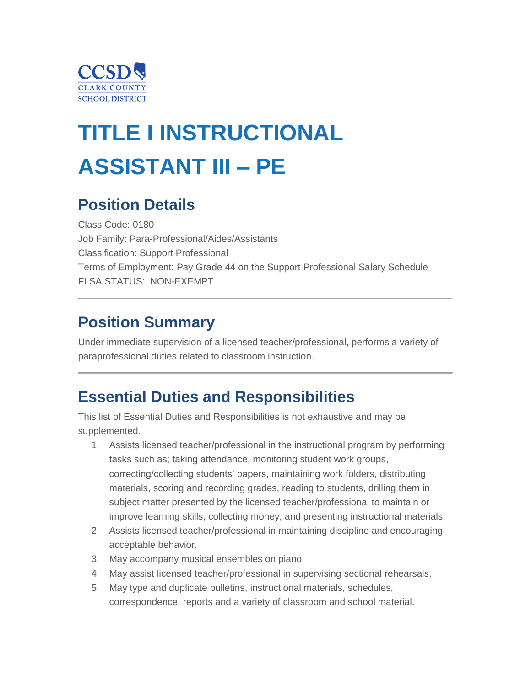

# **TITLE I INSTRUCTIONAL ASSISTANT III – PE**

### **Position Details**

Class Code: 0180 Job Family: Para-Professional/Aides/Assistants Classification: Support Professional Terms of Employment: Pay Grade 44 on the Support Professional Salary Schedule FLSA STATUS: NON-EXEMPT

### **Position Summary**

Under immediate supervision of a licensed teacher/professional, performs a variety of paraprofessional duties related to classroom instruction.

### **Essential Duties and Responsibilities**

This list of Essential Duties and Responsibilities is not exhaustive and may be supplemented.

- 1. Assists licensed teacher/professional in the instructional program by performing tasks such as; taking attendance, monitoring student work groups, correcting/collecting students' papers, maintaining work folders, distributing materials, scoring and recording grades, reading to students, drilling them in subject matter presented by the licensed teacher/professional to maintain or improve learning skills, collecting money, and presenting instructional materials.
- 2. Assists licensed teacher/professional in maintaining discipline and encouraging acceptable behavior.
- 3. May accompany musical ensembles on piano.
- 4. May assist licensed teacher/professional in supervising sectional rehearsals.
- 5. May type and duplicate bulletins, instructional materials, schedules, correspondence, reports and a variety of classroom and school material.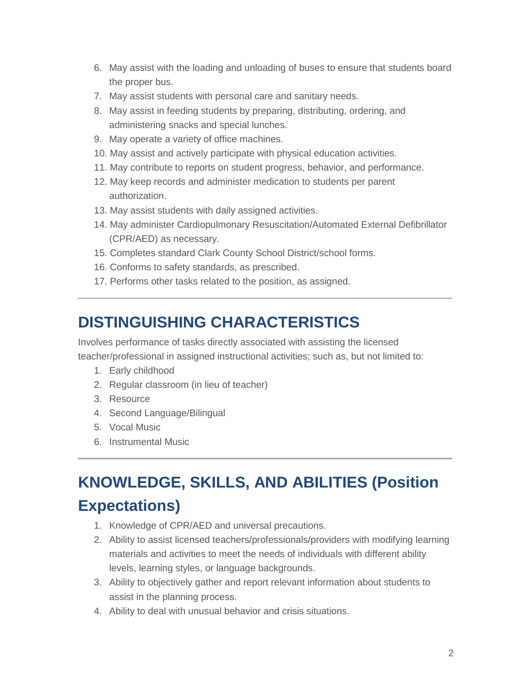- 6. May assist with the loading and unloading of buses to ensure that students board the proper bus.
- 7. May assist students with personal care and sanitary needs.
- 8. May assist in feeding students by preparing, distributing, ordering, and administering snacks and special lunches.
- 9. May operate a variety of office machines.
- 10. May assist and actively participate with physical education activities.
- 11. May contribute to reports on student progress, behavior, and performance.
- 12. May keep records and administer medication to students per parent authorization.
- 13. May assist students with daily assigned activities.
- 14. May administer Cardiopulmonary Resuscitation/Automated External Defibrillator (CPR/AED) as necessary.
- 15. Completes standard Clark County School District/school forms.
- 16. Conforms to safety standards, as prescribed.
- 17. Performs other tasks related to the position, as assigned.

### **DISTINGUISHING CHARACTERISTICS**

Involves performance of tasks directly associated with assisting the licensed teacher/professional in assigned instructional activities; such as, but not limited to:

- 1. Early childhood
- 2. Regular classroom (in lieu of teacher)
- 3. Resource
- 4. Second Language/Bilingual
- 5. Vocal Music
- 6. Instrumental Music

## **KNOWLEDGE, SKILLS, AND ABILITIES (Position Expectations)**

- 1. Knowledge of CPR/AED and universal precautions.
- 2. Ability to assist licensed teachers/professionals/providers with modifying learning materials and activities to meet the needs of individuals with different ability levels, learning styles, or language backgrounds.
- 3. Ability to objectively gather and report relevant information about students to assist in the planning process.
- 4. Ability to deal with unusual behavior and crisis situations.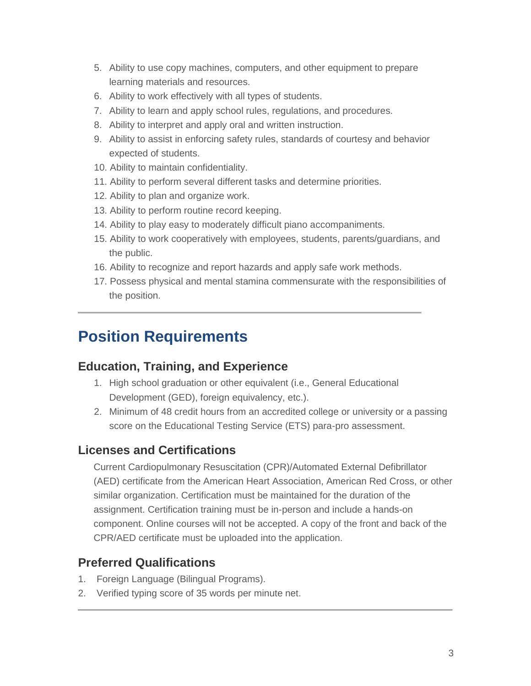- 5. Ability to use copy machines, computers, and other equipment to prepare learning materials and resources.
- 6. Ability to work effectively with all types of students.
- 7. Ability to learn and apply school rules, regulations, and procedures.
- 8. Ability to interpret and apply oral and written instruction.
- 9. Ability to assist in enforcing safety rules, standards of courtesy and behavior expected of students.
- 10. Ability to maintain confidentiality.
- 11. Ability to perform several different tasks and determine priorities.
- 12. Ability to plan and organize work.
- 13. Ability to perform routine record keeping.
- 14. Ability to play easy to moderately difficult piano accompaniments.
- 15. Ability to work cooperatively with employees, students, parents/guardians, and the public.
- 16. Ability to recognize and report hazards and apply safe work methods.
- 17. Possess physical and mental stamina commensurate with the responsibilities of the position.

### **Position Requirements**

#### **Education, Training, and Experience**

- 1. High school graduation or other equivalent (i.e., General Educational Development (GED), foreign equivalency, etc.).
- 2. Minimum of 48 credit hours from an accredited college or university or a passing score on the Educational Testing Service (ETS) para-pro assessment.

#### **Licenses and Certifications**

Current Cardiopulmonary Resuscitation (CPR)/Automated External Defibrillator (AED) certificate from the American Heart Association, American Red Cross, or other similar organization. Certification must be maintained for the duration of the assignment. Certification training must be in-person and include a hands-on component. Online courses will not be accepted. A copy of the front and back of the CPR/AED certificate must be uploaded into the application.

#### **Preferred Qualifications**

- 1. Foreign Language (Bilingual Programs).
- 2. Verified typing score of 35 words per minute net.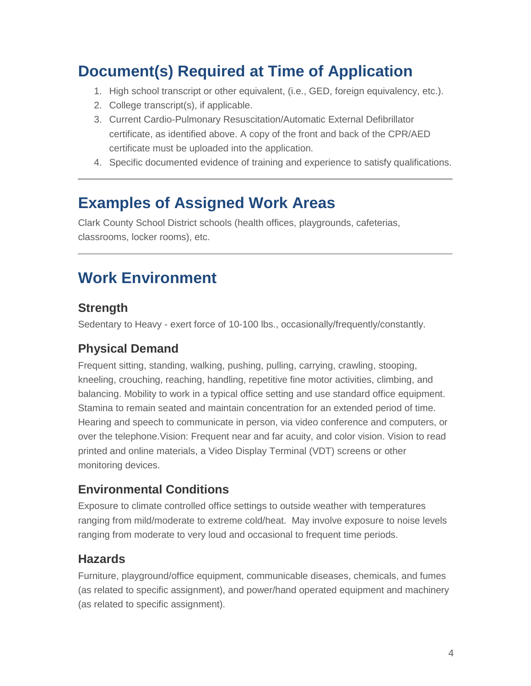### **Document(s) Required at Time of Application**

- 1. High school transcript or other equivalent, (i.e., GED, foreign equivalency, etc.).
- 2. College transcript(s), if applicable.
- 3. Current Cardio-Pulmonary Resuscitation/Automatic External Defibrillator certificate, as identified above. A copy of the front and back of the CPR/AED certificate must be uploaded into the application.
- 4. Specific documented evidence of training and experience to satisfy qualifications.

### **Examples of Assigned Work Areas**

Clark County School District schools (health offices, playgrounds, cafeterias, classrooms, locker rooms), etc.

### **Work Environment**

#### **Strength**

Sedentary to Heavy - exert force of 10-100 lbs., occasionally/frequently/constantly.

### **Physical Demand**

Frequent sitting, standing, walking, pushing, pulling, carrying, crawling, stooping, kneeling, crouching, reaching, handling, repetitive fine motor activities, climbing, and balancing. Mobility to work in a typical office setting and use standard office equipment. Stamina to remain seated and maintain concentration for an extended period of time. Hearing and speech to communicate in person, via video conference and computers, or over the telephone.Vision: Frequent near and far acuity, and color vision. Vision to read printed and online materials, a Video Display Terminal (VDT) screens or other monitoring devices.

### **Environmental Conditions**

Exposure to climate controlled office settings to outside weather with temperatures ranging from mild/moderate to extreme cold/heat. May involve exposure to noise levels ranging from moderate to very loud and occasional to frequent time periods.

#### **Hazards**

Furniture, playground/office equipment, communicable diseases, chemicals, and fumes (as related to specific assignment), and power/hand operated equipment and machinery (as related to specific assignment).